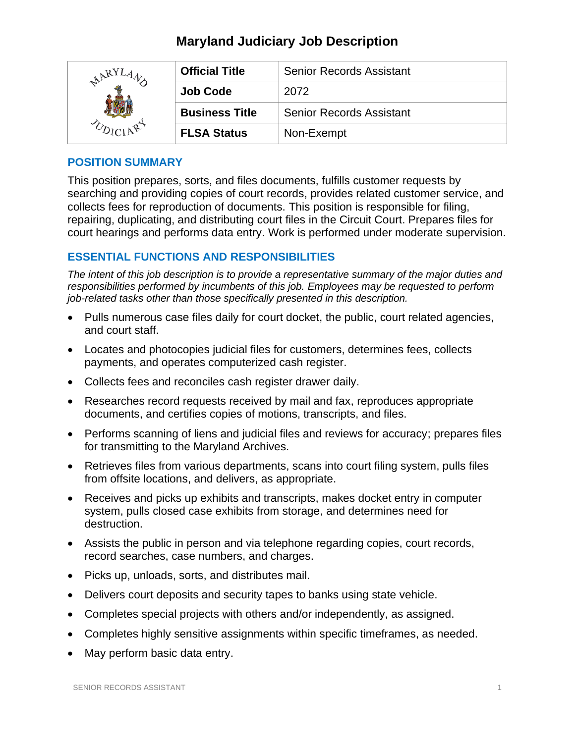# **Maryland Judiciary Job Description**

| RY | <b>Official Title</b> | <b>Senior Records Assistant</b> |
|----|-----------------------|---------------------------------|
|    | <b>Job Code</b>       | 2072                            |
|    | <b>Business Title</b> | <b>Senior Records Assistant</b> |
|    | <b>FLSA Status</b>    | Non-Exempt                      |

### **POSITION SUMMARY**

This position prepares, sorts, and files documents, fulfills customer requests by searching and providing copies of court records, provides related customer service, and collects fees for reproduction of documents. This position is responsible for filing, repairing, duplicating, and distributing court files in the Circuit Court. Prepares files for court hearings and performs data entry. Work is performed under moderate supervision.

# **ESSENTIAL FUNCTIONS AND RESPONSIBILITIES**

*The intent of this job description is to provide a representative summary of the major duties and responsibilities performed by incumbents of this job. Employees may be requested to perform job-related tasks other than those specifically presented in this description.*

- Pulls numerous case files daily for court docket, the public, court related agencies, and court staff.
- Locates and photocopies judicial files for customers, determines fees, collects payments, and operates computerized cash register.
- Collects fees and reconciles cash register drawer daily.
- Researches record requests received by mail and fax, reproduces appropriate documents, and certifies copies of motions, transcripts, and files.
- Performs scanning of liens and judicial files and reviews for accuracy; prepares files for transmitting to the Maryland Archives.
- Retrieves files from various departments, scans into court filing system, pulls files from offsite locations, and delivers, as appropriate.
- Receives and picks up exhibits and transcripts, makes docket entry in computer system, pulls closed case exhibits from storage, and determines need for destruction.
- Assists the public in person and via telephone regarding copies, court records, record searches, case numbers, and charges.
- Picks up, unloads, sorts, and distributes mail.
- Delivers court deposits and security tapes to banks using state vehicle.
- Completes special projects with others and/or independently, as assigned.
- Completes highly sensitive assignments within specific timeframes, as needed.
- May perform basic data entry.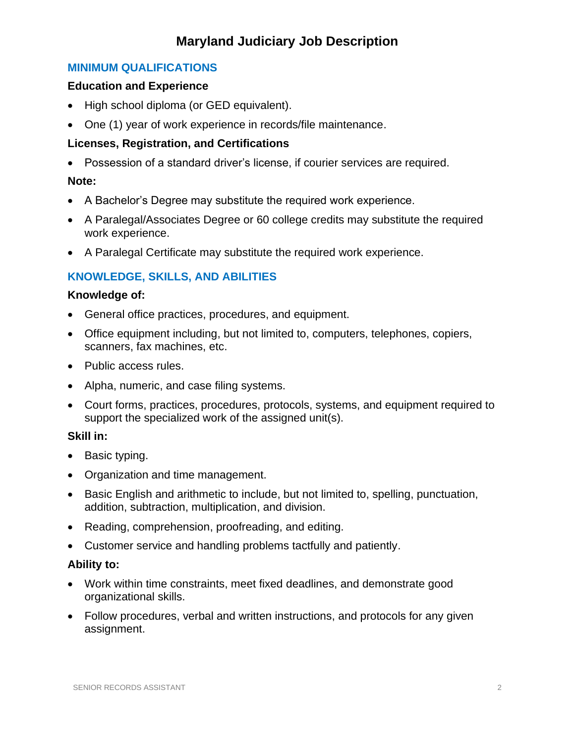# **Maryland Judiciary Job Description**

## **MINIMUM QUALIFICATIONS**

### **Education and Experience**

- High school diploma (or GED equivalent).
- One (1) year of work experience in records/file maintenance.

## **Licenses, Registration, and Certifications**

• Possession of a standard driver's license, if courier services are required.

## **Note:**

- A Bachelor's Degree may substitute the required work experience.
- A Paralegal/Associates Degree or 60 college credits may substitute the required work experience.
- A Paralegal Certificate may substitute the required work experience.

# **KNOWLEDGE, SKILLS, AND ABILITIES**

### **Knowledge of:**

- General office practices, procedures, and equipment.
- Office equipment including, but not limited to, computers, telephones, copiers, scanners, fax machines, etc.
- Public access rules.
- Alpha, numeric, and case filing systems.
- Court forms, practices, procedures, protocols, systems, and equipment required to support the specialized work of the assigned unit(s).

### **Skill in:**

- Basic typing.
- Organization and time management.
- Basic English and arithmetic to include, but not limited to, spelling, punctuation, addition, subtraction, multiplication, and division.
- Reading, comprehension, proofreading, and editing.
- Customer service and handling problems tactfully and patiently.

### **Ability to:**

- Work within time constraints, meet fixed deadlines, and demonstrate good organizational skills.
- Follow procedures, verbal and written instructions, and protocols for any given assignment.